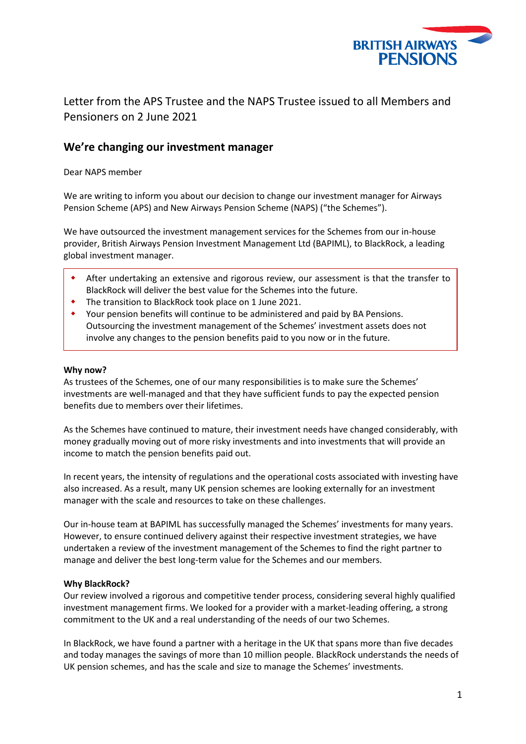

# Letter from the APS Trustee and the NAPS Trustee issued to all Members and Pensioners on 2 June 2021

## **We're changing our investment manager**

Dear NAPS member

We are writing to inform you about our decision to change our investment manager for Airways Pension Scheme (APS) and New Airways Pension Scheme (NAPS) ("the Schemes").

We have outsourced the investment management services for the Schemes from our in-house provider, British Airways Pension Investment Management Ltd (BAPIML), to BlackRock, a leading global investment manager.

- After undertaking an extensive and rigorous review, our assessment is that the transfer to BlackRock will deliver the best value for the Schemes into the future.
- The transition to BlackRock took place on 1 June 2021.
- Your pension benefits will continue to be administered and paid by BA Pensions. Outsourcing the investment management of the Schemes' investment assets does not involve any changes to the pension benefits paid to you now or in the future.

#### **Why now?**

As trustees of the Schemes, one of our many responsibilities is to make sure the Schemes' investments are well-managed and that they have sufficient funds to pay the expected pension benefits due to members over their lifetimes.

As the Schemes have continued to mature, their investment needs have changed considerably, with money gradually moving out of more risky investments and into investments that will provide an income to match the pension benefits paid out.

In recent years, the intensity of regulations and the operational costs associated with investing have also increased. As a result, many UK pension schemes are looking externally for an investment manager with the scale and resources to take on these challenges.

Our in-house team at BAPIML has successfully managed the Schemes' investments for many years. However, to ensure continued delivery against their respective investment strategies, we have undertaken a review of the investment management of the Schemes to find the right partner to manage and deliver the best long-term value for the Schemes and our members.

#### **Why BlackRock?**

Our review involved a rigorous and competitive tender process, considering several highly qualified investment management firms. We looked for a provider with a market-leading offering, a strong commitment to the UK and a real understanding of the needs of our two Schemes.

In BlackRock, we have found a partner with a heritage in the UK that spans more than five decades and today manages the savings of more than 10 million people. BlackRock understands the needs of UK pension schemes, and has the scale and size to manage the Schemes' investments.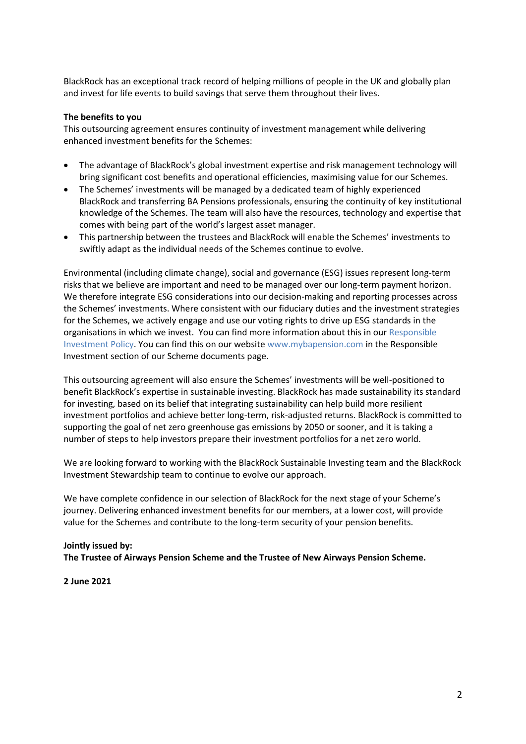BlackRock has an exceptional track record of helping millions of people in the UK and globally plan and invest for life events to build savings that serve them throughout their lives.

### **The benefits to you**

This outsourcing agreement ensures continuity of investment management while delivering enhanced investment benefits for the Schemes:

- The advantage of BlackRock's global investment expertise and risk management technology will bring significant cost benefits and operational efficiencies, maximising value for our Schemes.
- The Schemes' investments will be managed by a dedicated team of highly experienced BlackRock and transferring BA Pensions professionals, ensuring the continuity of key institutional knowledge of the Schemes. The team will also have the resources, technology and expertise that comes with being part of the world's largest asset manager.
- This partnership between the trustees and BlackRock will enable the Schemes' investments to swiftly adapt as the individual needs of the Schemes continue to evolve.

Environmental (including climate change), social and governance (ESG) issues represent long-term risks that we believe are important and need to be managed over our long-term payment horizon. We therefore integrate ESG considerations into our decision-making and reporting processes across the Schemes' investments. Where consistent with our fiduciary duties and the investment strategies for the Schemes, we actively engage and use our voting rights to drive up ESG standards in the organisations in which we invest. You can find more information about this in our [Responsible](https://www.mybapension.com/assets/news/responsible_investment_report_2020-e4cca602c771acdbce70d03d13ee6e511e35ceded7a6a91f7d22f1e7061d70ca.pdf)  [Investment Policy.](https://www.mybapension.com/assets/news/responsible_investment_report_2020-e4cca602c771acdbce70d03d13ee6e511e35ceded7a6a91f7d22f1e7061d70ca.pdf) You can find this on our websit[e www.mybapension.com](http://www.mybapension.com/) in the Responsible Investment section of our Scheme documents page.

This outsourcing agreement will also ensure the Schemes' investments will be well-positioned to benefit BlackRock's expertise in sustainable investing. BlackRock has made sustainability its standard for investing, based on its belief that integrating sustainability can help build more resilient investment portfolios and achieve better long-term, risk-adjusted returns. BlackRock is committed to supporting the goal of net zero greenhouse gas emissions by 2050 or sooner, and it is taking a number of steps to help investors prepare their investment portfolios for a net zero world.

We are looking forward to working with the BlackRock Sustainable Investing team and the BlackRock Investment Stewardship team to continue to evolve our approach.

We have complete confidence in our selection of BlackRock for the next stage of your Scheme's journey. Delivering enhanced investment benefits for our members, at a lower cost, will provide value for the Schemes and contribute to the long-term security of your pension benefits.

## **Jointly issued by: The Trustee of Airways Pension Scheme and the Trustee of New Airways Pension Scheme.**

**2 June 2021**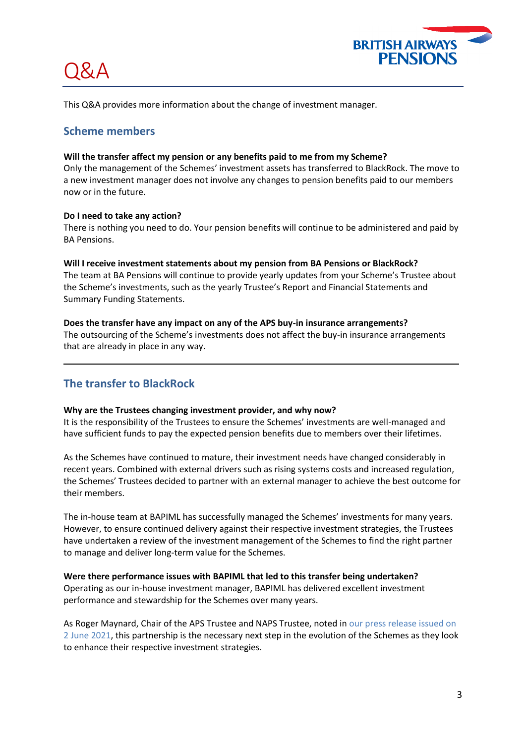

This Q&A provides more information about the change of investment manager.

## **Scheme members**

) X, A

#### **Will the transfer affect my pension or any benefits paid to me from my Scheme?**

Only the management of the Schemes' investment assets has transferred to BlackRock. The move to a new investment manager does not involve any changes to pension benefits paid to our members now or in the future.

#### **Do I need to take any action?**

There is nothing you need to do. Your pension benefits will continue to be administered and paid by BA Pensions.

#### **Will I receive investment statements about my pension from BA Pensions or BlackRock?**

The team at BA Pensions will continue to provide yearly updates from your Scheme's Trustee about the Scheme's investments, such as the yearly Trustee's Report and Financial Statements and Summary Funding Statements.

#### **Does the transfer have any impact on any of the APS buy-in insurance arrangements?**

The outsourcing of the Scheme's investments does not affect the buy-in insurance arrangements that are already in place in any way.

## **The transfer to BlackRock**

#### **Why are the Trustees changing investment provider, and why now?**

It is the responsibility of the Trustees to ensure the Schemes' investments are well-managed and have sufficient funds to pay the expected pension benefits due to members over their lifetimes.

As the Schemes have continued to mature, their investment needs have changed considerably in recent years. Combined with external drivers such as rising systems costs and increased regulation, the Schemes' Trustees decided to partner with an external manager to achieve the best outcome for their members.

The in-house team at BAPIML has successfully managed the Schemes' investments for many years. However, to ensure continued delivery against their respective investment strategies, the Trustees have undertaken a review of the investment management of the Schemes to find the right partner to manage and deliver long-term value for the Schemes.

### **Were there performance issues with BAPIML that led to this transfer being undertaken?** Operating as our in-house investment manager, BAPIML has delivered excellent investment performance and stewardship for the Schemes over many years.

As Roger Maynard, Chair of the APS Trustee and NAPS Trustee, noted in [our press release issued on](https://news.mybapension.com/system/resources/W1siZiIsIjIwMjEvMDYvMDIvMXQ2Y3AwYW5zc19CQVBTTEJMS18wMjA2MjEucGRmIl1d/BAPSLBLK%20020621.pdf)  [2 June 2021,](https://news.mybapension.com/system/resources/W1siZiIsIjIwMjEvMDYvMDIvMXQ2Y3AwYW5zc19CQVBTTEJMS18wMjA2MjEucGRmIl1d/BAPSLBLK%20020621.pdf) this partnership is the necessary next step in the evolution of the Schemes as they look to enhance their respective investment strategies.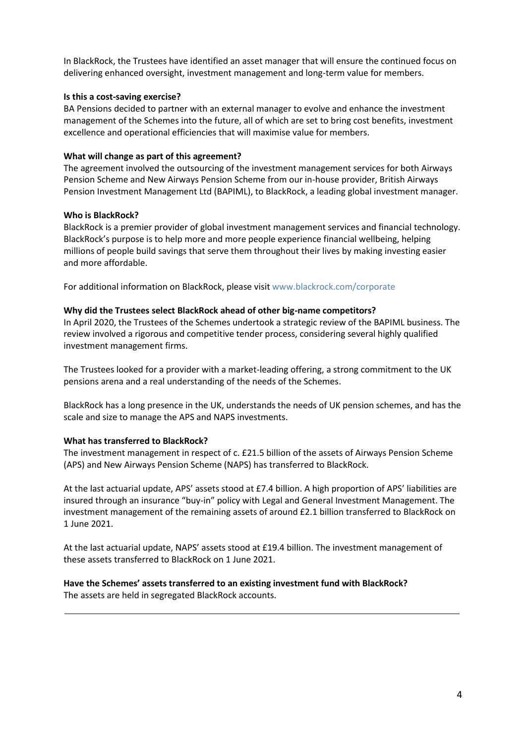In BlackRock, the Trustees have identified an asset manager that will ensure the continued focus on delivering enhanced oversight, investment management and long-term value for members.

### **Is this a cost-saving exercise?**

BA Pensions decided to partner with an external manager to evolve and enhance the investment management of the Schemes into the future, all of which are set to bring cost benefits, investment excellence and operational efficiencies that will maximise value for members.

## **What will change as part of this agreement?**

The agreement involved the outsourcing of the investment management services for both Airways Pension Scheme and New Airways Pension Scheme from our in-house provider, British Airways Pension Investment Management Ltd (BAPIML), to BlackRock, a leading global investment manager.

## **Who is BlackRock?**

BlackRock is a premier provider of global investment management services and financial technology. BlackRock's purpose is to help more and more people experience financial wellbeing, helping millions of people build savings that serve them throughout their lives by making investing easier and more affordable.

For additional information on BlackRock, please visit [www.blackrock.com/corporate](http://www.blackrock.com/corporate)

## **Why did the Trustees select BlackRock ahead of other big-name competitors?**

In April 2020, the Trustees of the Schemes undertook a strategic review of the BAPIML business. The review involved a rigorous and competitive tender process, considering several highly qualified investment management firms.

The Trustees looked for a provider with a market-leading offering, a strong commitment to the UK pensions arena and a real understanding of the needs of the Schemes.

BlackRock has a long presence in the UK, understands the needs of UK pension schemes, and has the scale and size to manage the APS and NAPS investments.

### **What has transferred to BlackRock?**

The investment management in respect of c. £21.5 billion of the assets of Airways Pension Scheme (APS) and New Airways Pension Scheme (NAPS) has transferred to BlackRock.

At the last actuarial update, APS' assets stood at £7.4 billion. A high proportion of APS' liabilities are insured through an insurance "buy-in" policy with Legal and General Investment Management. The investment management of the remaining assets of around £2.1 billion transferred to BlackRock on 1 June 2021.

At the last actuarial update, NAPS' assets stood at £19.4 billion. The investment management of these assets transferred to BlackRock on 1 June 2021.

#### **Have the Schemes' assets transferred to an existing investment fund with BlackRock?** The assets are held in segregated BlackRock accounts.